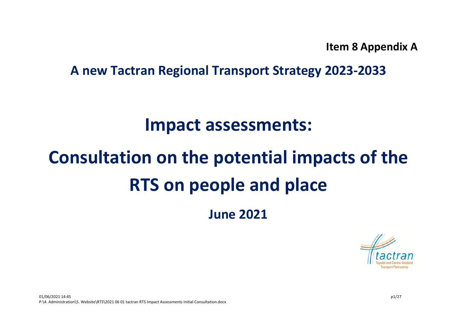**Item 8 Appendix A**

**A new Tactran Regional Transport Strategy 2023-2033**

## **Impact assessments:**

# **Consultation on the potential impacts of the RTS on people and place**

**June 2021**

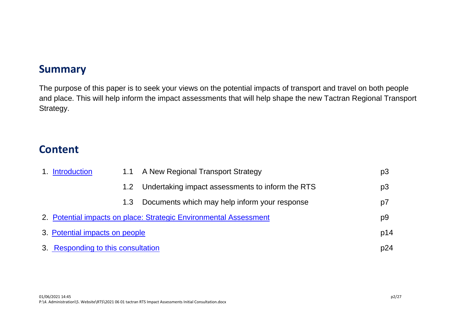## **Summary**

The purpose of this paper is to seek your views on the potential impacts of transport and travel on both people and place. This will help inform the impact assessments that will help shape the new Tactran Regional Transport Strategy.

## **Content**

| 1. Introduction<br>1.1 A New Regional Transport Strategy |                  |                                                                   | p <sub>3</sub> |
|----------------------------------------------------------|------------------|-------------------------------------------------------------------|----------------|
|                                                          | 1.2 <sub>1</sub> | Undertaking impact assessments to inform the RTS                  | p <sub>3</sub> |
|                                                          | 1.3              | Documents which may help inform your response                     | p7             |
|                                                          |                  | 2. Potential impacts on place: Strategic Environmental Assessment | p9             |
| 3. Potential impacts on people                           |                  |                                                                   | p14            |
| 3. Responding to this consultation                       |                  |                                                                   | p24            |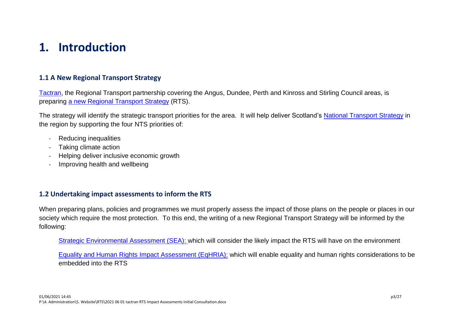## <span id="page-2-0"></span>**1. Introduction**

#### **1.1 A New Regional Transport Strategy**

[Tactran,](https://www.tactran.gov.uk/) the Regional Transport partnership covering the Angus, Dundee, Perth and Kinross and Stirling Council areas, is preparing [a new Regional Transport Strategy](https://www.tactran.gov.uk/strategy.php) (RTS).

The strategy will identify the strategic transport priorities for the area. It will help deliver Scotland's [National Transport Strategy](https://www.transport.gov.scot/our-approach/national-transport-strategy/) in the region by supporting the four NTS priorities of:

- Reducing inequalities
- Taking climate action
- Helping deliver inclusive economic growth
- Improving health and wellbeing

#### **1.2 Undertaking impact assessments to inform the RTS**

When preparing plans, policies and programmes we must properly assess the impact of those plans on the people or places in our society which require the most protection. To this end, the writing of a new Regional Transport Strategy will be informed by the following:

[Strategic Environmental Assessment \(SEA\):](https://www.gov.scot/policies/environmental-assessment/strategic-environmental-assessment-sea/) which will consider the likely impact the RTS will have on the environment

Equality and Human Rights Impact Assessment (EqHRIA): [which will enable equality and human rights considerations to be](http://eqhria.scottishhumanrights.com/eqhrialpaddedvalue.html)  [embedded into the RTS](http://eqhria.scottishhumanrights.com/eqhrialpaddedvalue.html)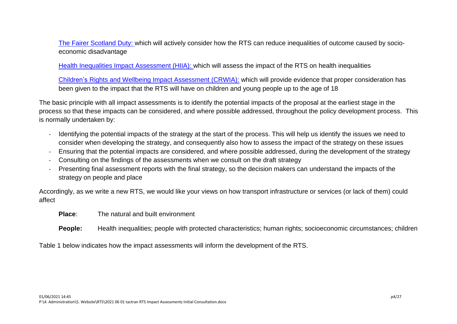[The Fairer Scotland Duty:](https://www.gov.scot/publications/fairer-scotland-duty-interim-guidance-public-bodies/) which will actively consider how the RTS can reduce inequalities of outcome caused by socioeconomic disadvantage

[Health Inequalities Impact Assessment \(HIIA\):](http://www.healthscotland.scot/tools-and-resources/health-inequalities-impact-assessment-hiia/what-is-an-hiia) which will assess the impact of the RTS on health inequalities

Children's [Rights and Wellbeing Impact Assessment \(CRWIA\):](https://www.gov.scot/publications/childrens-rights-wellbeing-impact-assessments-crwia-guidance/) which will provide evidence that proper consideration has been given to the impact that the RTS will have on children and young people up to the age of 18

The basic principle with all impact assessments is to identify the potential impacts of the proposal at the earliest stage in the process so that these impacts can be considered, and where possible addressed, throughout the policy development process. This is normally undertaken by:

- Identifying the potential impacts of the strategy at the start of the process. This will help us identify the issues we need to consider when developing the strategy, and consequently also how to assess the impact of the strategy on these issues
- Ensuring that the potential impacts are considered, and where possible addressed, during the development of the strategy
- Consulting on the findings of the assessments when we consult on the draft strategy
- Presenting final assessment reports with the final strategy, so the decision makers can understand the impacts of the strategy on people and place

Accordingly, as we write a new RTS, we would like your views on how transport infrastructure or services (or lack of them) could affect

- **Place**: The natural and built environment
- **People:** Health inequalities; people with protected characteristics; human rights; socioeconomic circumstances; children

Table 1 below indicates how the impact assessments will inform the development of the RTS.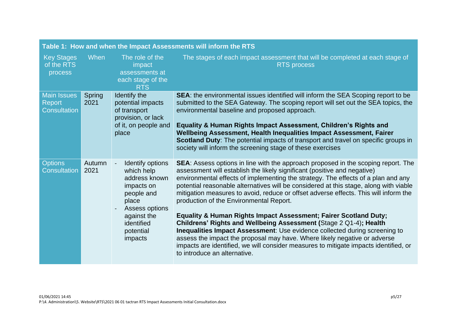| Table 1: How and when the Impact Assessments will inform the RTS |                |                                                                                                                                                             |                                                                                                                                                                                                                                                                                                                                                                                                                                                                                                                                                                                                                                                                                                                                                                                                                                                                                                                              |  |  |
|------------------------------------------------------------------|----------------|-------------------------------------------------------------------------------------------------------------------------------------------------------------|------------------------------------------------------------------------------------------------------------------------------------------------------------------------------------------------------------------------------------------------------------------------------------------------------------------------------------------------------------------------------------------------------------------------------------------------------------------------------------------------------------------------------------------------------------------------------------------------------------------------------------------------------------------------------------------------------------------------------------------------------------------------------------------------------------------------------------------------------------------------------------------------------------------------------|--|--|
| <b>Key Stages</b><br>of the RTS<br>process                       | When           | The role of the<br>impact<br>assessments at<br>each stage of the<br><b>RTS</b>                                                                              | The stages of each impact assessment that will be completed at each stage of<br><b>RTS</b> process                                                                                                                                                                                                                                                                                                                                                                                                                                                                                                                                                                                                                                                                                                                                                                                                                           |  |  |
| <b>Main Issues</b><br><b>Report</b><br><b>Consultation</b>       | Spring<br>2021 | Identify the<br>potential impacts<br>of transport<br>provision, or lack<br>of it, on people and<br>place                                                    | <b>SEA:</b> the environmental issues identified will inform the SEA Scoping report to be<br>submitted to the SEA Gateway. The scoping report will set out the SEA topics, the<br>environmental baseline and proposed approach.<br>Equality & Human Rights Impact Assessment, Children's Rights and<br>Wellbeing Assessment, Health Inequalities Impact Assessment, Fairer<br><b>Scotland Duty:</b> The potential impacts of transport and travel on specific groups in<br>society will inform the screening stage of these exercises                                                                                                                                                                                                                                                                                                                                                                                         |  |  |
| <b>Options</b><br><b>Consultation</b>                            | Autumn<br>2021 | Identify options<br>which help<br>address known<br>impacts on<br>people and<br>place<br>Assess options<br>against the<br>identified<br>potential<br>impacts | <b>SEA:</b> Assess options in line with the approach proposed in the scoping report. The<br>assessment will establish the likely significant (positive and negative)<br>environmental effects of implementing the strategy. The effects of a plan and any<br>potential reasonable alternatives will be considered at this stage, along with viable<br>mitigation measures to avoid, reduce or offset adverse effects. This will inform the<br>production of the Environmental Report.<br><b>Equality &amp; Human Rights Impact Assessment; Fairer Scotland Duty;</b><br>Childrens' Rights and Wellbeing Assessment (Stage 2 Q1-4); Health<br>Inequalities Impact Assessment: Use evidence collected during screening to<br>assess the impact the proposal may have. Where likely negative or adverse<br>impacts are identified, we will consider measures to mitigate impacts identified, or<br>to introduce an alternative. |  |  |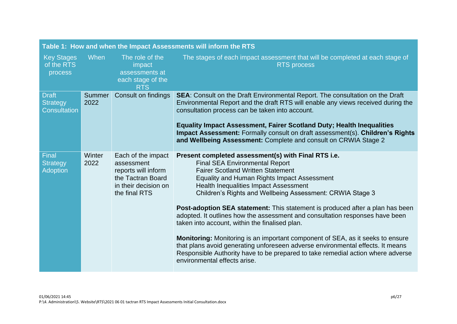| Table 1: How and when the Impact Assessments will inform the RTS |                       |                                                                                                                       |                                                                                                                                                                                                                                                                                                                                                                                                                                                                                                                                                                                                                                                                                                                                                                                                                       |  |  |
|------------------------------------------------------------------|-----------------------|-----------------------------------------------------------------------------------------------------------------------|-----------------------------------------------------------------------------------------------------------------------------------------------------------------------------------------------------------------------------------------------------------------------------------------------------------------------------------------------------------------------------------------------------------------------------------------------------------------------------------------------------------------------------------------------------------------------------------------------------------------------------------------------------------------------------------------------------------------------------------------------------------------------------------------------------------------------|--|--|
| <b>Key Stages</b><br>of the RTS<br>process                       | When                  | The role of the<br>impact<br>assessments at<br>each stage of the<br><b>RTS</b>                                        | The stages of each impact assessment that will be completed at each stage of<br><b>RTS</b> process                                                                                                                                                                                                                                                                                                                                                                                                                                                                                                                                                                                                                                                                                                                    |  |  |
| <b>Draft</b><br><b>Strategy</b><br><b>Consultation</b>           | <b>Summer</b><br>2022 | Consult on findings                                                                                                   | <b>SEA:</b> Consult on the Draft Environmental Report. The consultation on the Draft<br>Environmental Report and the draft RTS will enable any views received during the<br>consultation process can be taken into account.<br><b>Equality Impact Assessment, Fairer Scotland Duty; Health Inequalities</b><br>Impact Assessment: Formally consult on draft assessment(s). Children's Rights<br>and Wellbeing Assessment: Complete and consult on CRWIA Stage 2                                                                                                                                                                                                                                                                                                                                                       |  |  |
| Final<br><b>Strategy</b><br><b>Adoption</b>                      | Winter<br>2022        | Each of the impact<br>assessment<br>reports will inform<br>the Tactran Board<br>in their decision on<br>the final RTS | Present completed assessment(s) with Final RTS i.e.<br><b>Final SEA Environmental Report</b><br><b>Fairer Scotland Written Statement</b><br>Equality and Human Rights Impact Assessment<br><b>Health Inequalities Impact Assessment</b><br>Children's Rights and Wellbeing Assessment: CRWIA Stage 3<br>Post-adoption SEA statement: This statement is produced after a plan has been<br>adopted. It outlines how the assessment and consultation responses have been<br>taken into account, within the finalised plan.<br><b>Monitoring:</b> Monitoring is an important component of SEA, as it seeks to ensure<br>that plans avoid generating unforeseen adverse environmental effects. It means<br>Responsible Authority have to be prepared to take remedial action where adverse<br>environmental effects arise. |  |  |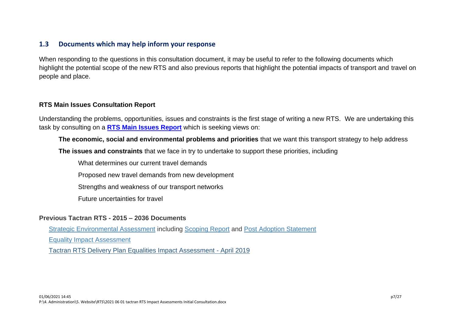#### **1.3 Documents which may help inform your response**

When responding to the questions in this consultation document, it may be useful to refer to the following documents which highlight the potential scope of the new RTS and also previous reports that highlight the potential impacts of transport and travel on people and place.

#### **RTS Main Issues Consultation Report**

Understanding the problems, opportunities, issues and constraints is the first stage of writing a new RTS. We are undertaking this task by consulting on a **[RTS Main Issues Report](https://www.tactran.gov.uk/strategy.php)** which is seeking views on:

#### **The economic, social and environmental problems and priorities** that we want this transport strategy to help address

**The issues and constraints** that we face in try to undertake to support these priorities, including

What determines our current travel demands

Proposed new travel demands from new development

Strengths and weakness of our transport networks

Future uncertainties for travel

#### **Previous Tactran RTS - 2015 – 2036 Documents**

[Strategic Environmental Assessment](https://www.tactran.gov.uk/documents/RefreshofRegionalTransportStrategyStrategicEnvironmentalAssessment-Final.pdf) including [Scoping Report](https://www.tactran.gov.uk/documents/RTSRefreshScopingReport.pdf) and [Post Adoption Statement](https://www.tactran.gov.uk/documents/SEAPAS.pdf)

[Equality Impact Assessment](https://www.tactran.gov.uk/documents/RefreshofRegionalTransportStrategyEqualityImpactAssessment-Final.pdf)

[Tactran RTS Delivery Plan Equalities Impact Assessment -](https://www.tactran.gov.uk/cms-assets/2019%2005%2003%20EqIA%20final.pdf) April 2019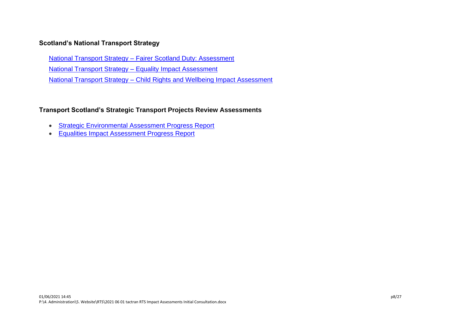#### **Scotland's National Transport Strategy**

National Transport Strategy – [Fairer Scotland Duty: Assessment](https://www.transport.gov.scot/publication/national-transport-strategy-fairer-scotland-duty-assessment/)

[National Transport Strategy –](https://www.transport.gov.scot/publication/national-transport-strategy-equality-impact-assessment/) Equality Impact Assessment

National Transport Strategy – [Child Rights and Wellbeing Impact Assessment](https://www.transport.gov.scot/publication/national-transport-strategy-child-rights-and-wellbeing-impact-assessment/)

#### **Transport Scotland's Strategic Transport Projects Review Assessments**

- [Strategic Environmental Assessment Progress Report](https://www.transport.gov.scot/media/49074/strategic-environmental-assessment-sea-progress-report.pdf)
- [Equalities Impact Assessment Progress Report](https://www.transport.gov.scot/media/49073/equalities-impact-assessment-eqia-progress-report.pdf)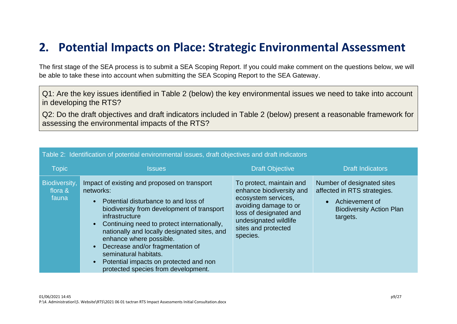## <span id="page-8-0"></span>**2. Potential Impacts on Place: Strategic Environmental Assessment**

The first stage of the SEA process is to submit a SEA Scoping Report. If you could make comment on the questions below, we will be able to take these into account when submitting the SEA Scoping Report to the SEA Gateway.

Q1: Are the key issues identified in Table 2 (below) the key environmental issues we need to take into account in developing the RTS?

Q2: Do the draft objectives and draft indicators included in Table 2 (below) present a reasonable framework for assessing the environmental impacts of the RTS?

| <b>Topic</b>                      | <b>Issues</b>                                                                                                                                                                                                                                                                                                                                                                                                                             | <b>Draft Objective</b>                                                                                                                                                                     | <b>Draft Indicators</b>                                                                                                                 |
|-----------------------------------|-------------------------------------------------------------------------------------------------------------------------------------------------------------------------------------------------------------------------------------------------------------------------------------------------------------------------------------------------------------------------------------------------------------------------------------------|--------------------------------------------------------------------------------------------------------------------------------------------------------------------------------------------|-----------------------------------------------------------------------------------------------------------------------------------------|
| Biodiversity,<br>flora &<br>fauna | Impact of existing and proposed on transport<br>networks:<br>Potential disturbance to and loss of<br>biodiversity from development of transport<br>infrastructure<br>Continuing need to protect internationally,<br>nationally and locally designated sites, and<br>enhance where possible.<br>Decrease and/or fragmentation of<br>seminatural habitats.<br>Potential impacts on protected and non<br>protected species from development. | To protect, maintain and<br>enhance biodiversity and<br>ecosystem services,<br>avoiding damage to or<br>loss of designated and<br>undesignated wildlife<br>sites and protected<br>species. | Number of designated sites<br>affected in RTS strategies.<br>Achievement of<br>$\bullet$<br><b>Biodiversity Action Plan</b><br>targets. |

Table 2: Identification of potential environmental issues, draft objectives and draft indicators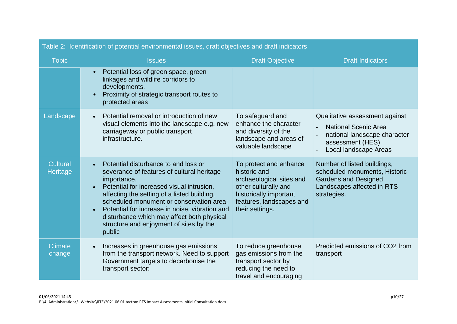|                             | able 2: Identification of potential environmental issues, draft objectives and draft indicators                                                                                                                                                                                                                                                                                                                          |                                                                                                                                                                     |                                                                                                                                            |  |  |  |  |
|-----------------------------|--------------------------------------------------------------------------------------------------------------------------------------------------------------------------------------------------------------------------------------------------------------------------------------------------------------------------------------------------------------------------------------------------------------------------|---------------------------------------------------------------------------------------------------------------------------------------------------------------------|--------------------------------------------------------------------------------------------------------------------------------------------|--|--|--|--|
| <b>Topic</b>                | <b>Issues</b>                                                                                                                                                                                                                                                                                                                                                                                                            | <b>Draft Objective</b>                                                                                                                                              | <b>Draft Indicators</b>                                                                                                                    |  |  |  |  |
|                             | Potential loss of green space, green<br>$\bullet$<br>linkages and wildlife corridors to<br>developments.<br>Proximity of strategic transport routes to<br>protected areas                                                                                                                                                                                                                                                |                                                                                                                                                                     |                                                                                                                                            |  |  |  |  |
| Landscape                   | Potential removal or introduction of new<br>$\bullet$<br>visual elements into the landscape e.g. new<br>carriageway or public transport<br>infrastructure.                                                                                                                                                                                                                                                               | To safeguard and<br>enhance the character<br>and diversity of the<br>landscape and areas of<br>valuable landscape                                                   | Qualitative assessment against<br><b>National Scenic Area</b><br>national landscape character<br>assessment (HES)<br>Local landscape Areas |  |  |  |  |
| Cultural<br><b>Heritage</b> | Potential disturbance to and loss or<br>severance of features of cultural heritage<br>importance.<br>Potential for increased visual intrusion,<br>$\bullet$<br>affecting the setting of a listed building,<br>scheduled monument or conservation area;<br>Potential for increase in noise, vibration and<br>$\bullet$<br>disturbance which may affect both physical<br>structure and enjoyment of sites by the<br>public | To protect and enhance<br>historic and<br>archaeological sites and<br>other culturally and<br>historically important<br>features, landscapes and<br>their settings. | Number of listed buildings,<br>scheduled monuments, Historic<br><b>Gardens and Designed</b><br>Landscapes affected in RTS<br>strategies.   |  |  |  |  |
| <b>Climate</b><br>change    | Increases in greenhouse gas emissions<br>from the transport network. Need to support<br>Government targets to decarbonise the<br>transport sector:                                                                                                                                                                                                                                                                       | To reduce greenhouse<br>gas emissions from the<br>transport sector by<br>reducing the need to<br>travel and encouraging                                             | Predicted emissions of CO2 from<br>transport                                                                                               |  |  |  |  |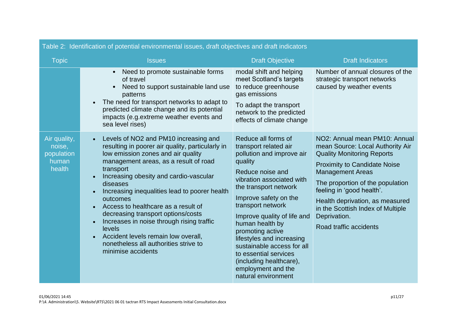| rable 2: Tuenuncation of potential environmental issues, drait objectives and drait indicators |                                                                                                                                                                                                                                                                                                                                                                                                                                                                                                                                                                                                                     |                                                                                                                                                                                                                                                                                                                                                                                                                                                |                                                                                                                                                                                                                                                                                                                                                             |  |  |  |
|------------------------------------------------------------------------------------------------|---------------------------------------------------------------------------------------------------------------------------------------------------------------------------------------------------------------------------------------------------------------------------------------------------------------------------------------------------------------------------------------------------------------------------------------------------------------------------------------------------------------------------------------------------------------------------------------------------------------------|------------------------------------------------------------------------------------------------------------------------------------------------------------------------------------------------------------------------------------------------------------------------------------------------------------------------------------------------------------------------------------------------------------------------------------------------|-------------------------------------------------------------------------------------------------------------------------------------------------------------------------------------------------------------------------------------------------------------------------------------------------------------------------------------------------------------|--|--|--|
| <b>Topic</b>                                                                                   | <b>Issues</b>                                                                                                                                                                                                                                                                                                                                                                                                                                                                                                                                                                                                       | <b>Draft Objective</b>                                                                                                                                                                                                                                                                                                                                                                                                                         | <b>Draft Indicators</b>                                                                                                                                                                                                                                                                                                                                     |  |  |  |
|                                                                                                | Need to promote sustainable forms<br>$\bullet$<br>of travel<br>Need to support sustainable land use<br>$\bullet$<br>patterns<br>The need for transport networks to adapt to<br>predicted climate change and its potential<br>impacts (e.g.extreme weather events and<br>sea level rises)                                                                                                                                                                                                                                                                                                                            | modal shift and helping<br>meet Scotland's targets<br>to reduce greenhouse<br>gas emissions<br>To adapt the transport<br>network to the predicted<br>effects of climate change                                                                                                                                                                                                                                                                 | Number of annual closures of the<br>strategic transport networks<br>caused by weather events                                                                                                                                                                                                                                                                |  |  |  |
| Air quality,<br>noise,<br>population<br>human<br>health                                        | Levels of NO2 and PM10 increasing and<br>$\bullet$<br>resulting in poorer air quality, particularly in<br>low emission zones and air quality<br>management areas, as a result of road<br>transport<br>Increasing obesity and cardio-vascular<br>$\bullet$<br>diseases<br>Increasing inequalities lead to poorer health<br>$\bullet$<br>outcomes<br>Access to healthcare as a result of<br>decreasing transport options/costs<br>Increases in noise through rising traffic<br>$\bullet$<br>levels<br>Accident levels remain low overall,<br>$\bullet$<br>nonetheless all authorities strive to<br>minimise accidents | Reduce all forms of<br>transport related air<br>pollution and improve air<br>quality<br>Reduce noise and<br>vibration associated with<br>the transport network<br>Improve safety on the<br>transport network<br>Improve quality of life and<br>human health by<br>promoting active<br>lifestyles and increasing<br>sustainable access for all<br>to essential services<br>(including healthcare),<br>employment and the<br>natural environment | NO2: Annual mean PM10: Annual<br>mean Source: Local Authority Air<br><b>Quality Monitoring Reports</b><br><b>Proximity to Candidate Noise</b><br><b>Management Areas</b><br>The proportion of the population<br>feeling in 'good health'.<br>Health deprivation, as measured<br>in the Scottish Index of Multiple<br>Deprivation.<br>Road traffic accidents |  |  |  |

#### Table 2: Identification of potential environmental issues, draft objectives and draft indicators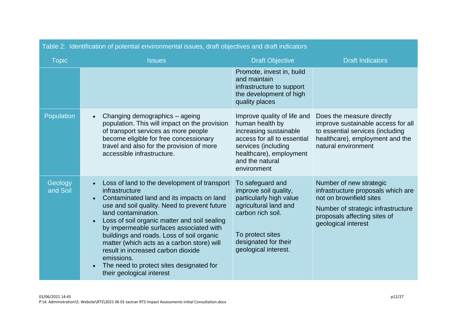| Table 2: Identification of potential environmental issues, draft objectives and draft indicators |                                                                                                                                                                                                                                                                                                                                                                                                                                                                                                                                                           |                                                                                                                                                                                             |                                                                                                                                                                                       |  |  |  |
|--------------------------------------------------------------------------------------------------|-----------------------------------------------------------------------------------------------------------------------------------------------------------------------------------------------------------------------------------------------------------------------------------------------------------------------------------------------------------------------------------------------------------------------------------------------------------------------------------------------------------------------------------------------------------|---------------------------------------------------------------------------------------------------------------------------------------------------------------------------------------------|---------------------------------------------------------------------------------------------------------------------------------------------------------------------------------------|--|--|--|
| <b>Topic</b>                                                                                     | <b>Issues</b>                                                                                                                                                                                                                                                                                                                                                                                                                                                                                                                                             | <b>Draft Objective</b>                                                                                                                                                                      | <b>Draft Indicators</b>                                                                                                                                                               |  |  |  |
|                                                                                                  |                                                                                                                                                                                                                                                                                                                                                                                                                                                                                                                                                           | Promote, invest in, build<br>and maintain<br>infrastructure to support<br>the development of high<br>quality places                                                                         |                                                                                                                                                                                       |  |  |  |
| Population                                                                                       | Changing demographics - ageing<br>$\bullet$<br>population. This will impact on the provision<br>of transport services as more people<br>become eligible for free concessionary<br>travel and also for the provision of more<br>accessible infrastructure.                                                                                                                                                                                                                                                                                                 | Improve quality of life and<br>human health by<br>increasing sustainable<br>access for all to essential<br>services (including<br>healthcare), employment<br>and the natural<br>environment | Does the measure directly<br>improve sustainable access for all<br>to essential services (including<br>healthcare), employment and the<br>natural environment                         |  |  |  |
| Geology<br>and Soil                                                                              | Loss of land to the development of transport<br>$\bullet$<br>infrastructure<br>Contaminated land and its impacts on land<br>$\bullet$<br>use and soil quality. Need to prevent future<br>land contamination.<br>Loss of soil organic matter and soil sealing<br>$\bullet$<br>by impermeable surfaces associated with<br>buildings and roads. Loss of soil organic<br>matter (which acts as a carbon store) will<br>result in increased carbon dioxide<br>emissions.<br>The need to protect sites designated for<br>$\bullet$<br>their geological interest | To safeguard and<br>improve soil quality,<br>particularly high value<br>agricultural land and<br>carbon rich soil.<br>To protect sites<br>designated for their<br>geological interest.      | Number of new strategic<br>infrastructure proposals which are<br>not on brownfield sites<br>Number of strategic infrastructure<br>proposals affecting sites of<br>geological interest |  |  |  |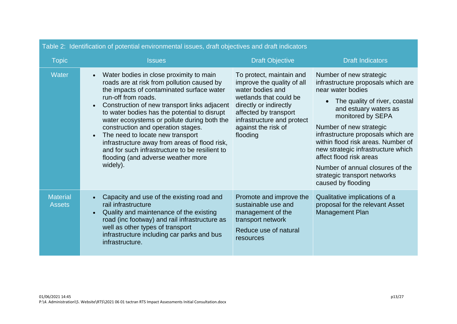| rabic 2. Tuchuncation or potential environmental issues, uran objectives and uran indicators |                                                                                                                                                                                                                                                                                                                                                                                                                                                                                                                                                                   |                                                                                                                                                                                                                          |                                                                                                                                                                                                                                                                                                                                                                                                                                     |  |  |  |
|----------------------------------------------------------------------------------------------|-------------------------------------------------------------------------------------------------------------------------------------------------------------------------------------------------------------------------------------------------------------------------------------------------------------------------------------------------------------------------------------------------------------------------------------------------------------------------------------------------------------------------------------------------------------------|--------------------------------------------------------------------------------------------------------------------------------------------------------------------------------------------------------------------------|-------------------------------------------------------------------------------------------------------------------------------------------------------------------------------------------------------------------------------------------------------------------------------------------------------------------------------------------------------------------------------------------------------------------------------------|--|--|--|
| <b>Topic</b>                                                                                 | <b>Issues</b>                                                                                                                                                                                                                                                                                                                                                                                                                                                                                                                                                     | <b>Draft Objective</b>                                                                                                                                                                                                   | <b>Draft Indicators</b>                                                                                                                                                                                                                                                                                                                                                                                                             |  |  |  |
| <b>Water</b>                                                                                 | Water bodies in close proximity to main<br>roads are at risk from pollution caused by<br>the impacts of contaminated surface water<br>run-off from roads.<br>Construction of new transport links adjacent<br>$\bullet$<br>to water bodies has the potential to disrupt<br>water ecosystems or pollute during both the<br>construction and operation stages.<br>The need to locate new transport<br>$\bullet$<br>infrastructure away from areas of flood risk,<br>and for such infrastructure to be resilient to<br>flooding (and adverse weather more<br>widely). | To protect, maintain and<br>improve the quality of all<br>water bodies and<br>wetlands that could be<br>directly or indirectly<br>affected by transport<br>infrastructure and protect<br>against the risk of<br>flooding | Number of new strategic<br>infrastructure proposals which are<br>near water bodies<br>The quality of river, coastal<br>and estuary waters as<br>monitored by SEPA<br>Number of new strategic<br>infrastructure proposals which are<br>within flood risk areas. Number of<br>new strategic infrastructure which<br>affect flood risk areas<br>Number of annual closures of the<br>strategic transport networks<br>caused by flooding |  |  |  |
| <b>Material</b><br><b>Assets</b>                                                             | Capacity and use of the existing road and<br>rail infrastructure<br>Quality and maintenance of the existing<br>$\bullet$<br>road (inc footway) and rail infrastructure as<br>well as other types of transport<br>infrastructure including car parks and bus<br>infrastructure.                                                                                                                                                                                                                                                                                    | Promote and improve the<br>sustainable use and<br>management of the<br>transport network<br>Reduce use of natural<br>resources                                                                                           | Qualitative implications of a<br>proposal for the relevant Asset<br><b>Management Plan</b>                                                                                                                                                                                                                                                                                                                                          |  |  |  |

#### Table 2: Identification of potential environmental issues, draft objectives and draft indicators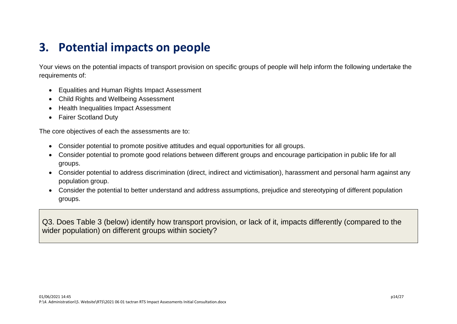## <span id="page-13-0"></span>**3. Potential impacts on people**

Your views on the potential impacts of transport provision on specific groups of people will help inform the following undertake the requirements of:

- Equalities and Human Rights Impact Assessment
- Child Rights and Wellbeing Assessment
- Health Inequalities Impact Assessment
- Fairer Scotland Duty

The core objectives of each the assessments are to:

- Consider potential to promote positive attitudes and equal opportunities for all groups.
- Consider potential to promote good relations between different groups and encourage participation in public life for all groups.
- Consider potential to address discrimination (direct, indirect and victimisation), harassment and personal harm against any population group.
- Consider the potential to better understand and address assumptions, prejudice and stereotyping of different population groups.

Q3. Does Table 3 (below) identify how transport provision, or lack of it, impacts differently (compared to the wider population) on different groups within society?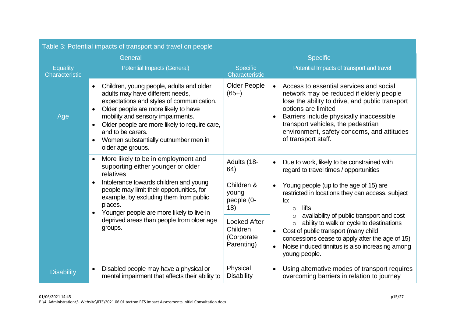| Table 3: Potential impacts of transport and travel on people |                                                                                                                                                                                                                                                                                                                                                                     |                                                              |                                                                                                                                                                                                                                                                                                                                                 |  |
|--------------------------------------------------------------|---------------------------------------------------------------------------------------------------------------------------------------------------------------------------------------------------------------------------------------------------------------------------------------------------------------------------------------------------------------------|--------------------------------------------------------------|-------------------------------------------------------------------------------------------------------------------------------------------------------------------------------------------------------------------------------------------------------------------------------------------------------------------------------------------------|--|
|                                                              | General                                                                                                                                                                                                                                                                                                                                                             |                                                              | <b>Specific</b>                                                                                                                                                                                                                                                                                                                                 |  |
| <b>Equality</b><br>Characteristic                            | <b>Potential Impacts (General)</b>                                                                                                                                                                                                                                                                                                                                  | <b>Specific</b><br>Characteristic                            | Potential Impacts of transport and travel                                                                                                                                                                                                                                                                                                       |  |
| Age                                                          | Children, young people, adults and older<br>$\bullet$<br>adults may have different needs,<br>expectations and styles of communication.<br>Older people are more likely to have<br>mobility and sensory impairments.<br>Older people are more likely to require care,<br>$\bullet$<br>and to be carers.<br>Women substantially outnumber men in<br>older age groups. | <b>Older People</b><br>$(65+)$                               | Access to essential services and social<br>$\bullet$<br>network may be reduced if elderly people<br>lose the ability to drive, and public transport<br>options are limited<br>Barriers include physically inaccessible<br>$\bullet$<br>transport vehicles, the pedestrian<br>environment, safety concerns, and attitudes<br>of transport staff. |  |
|                                                              | More likely to be in employment and<br>$\bullet$<br>supporting either younger or older<br>relatives                                                                                                                                                                                                                                                                 | Adults (18-<br>64)                                           | Due to work, likely to be constrained with<br>$\bullet$<br>regard to travel times / opportunities                                                                                                                                                                                                                                               |  |
|                                                              | Intolerance towards children and young<br>$\bullet$<br>people may limit their opportunities, for<br>example, by excluding them from public<br>places.<br>Younger people are more likely to live in<br>$\bullet$                                                                                                                                                     | Children &<br>young<br>people (0-<br>18)                     | Young people (up to the age of 15) are<br>$\bullet$<br>restricted in locations they can access, subject<br>to:<br>lifts<br>$\circ$                                                                                                                                                                                                              |  |
|                                                              | deprived areas than people from older age<br>groups.                                                                                                                                                                                                                                                                                                                | <b>Looked After</b><br>Children<br>(Corporate)<br>Parenting) | availability of public transport and cost<br>ability to walk or cycle to destinations<br>$\circ$<br>Cost of public transport (many child<br>concessions cease to apply after the age of 15)<br>Noise induced tinnitus is also increasing among<br>$\bullet$<br>young people.                                                                    |  |
| <b>Disability</b>                                            | Disabled people may have a physical or<br>$\bullet$<br>mental impairment that affects their ability to                                                                                                                                                                                                                                                              | Physical<br><b>Disability</b>                                | Using alternative modes of transport requires<br>$\bullet$<br>overcoming barriers in relation to journey                                                                                                                                                                                                                                        |  |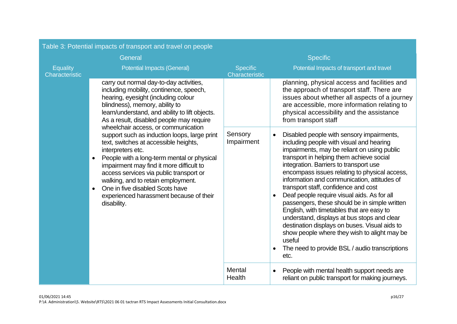| Table 3: Potential impacts of transport and travel on people |                                                                                                                                                                                                                                                                                                                                                                                                                                                     |                                                                                |                                                                                                                                                                                                                                                                                                                                                                                                                                                                                                                                                                                                                                                                                                                                                                            |  |
|--------------------------------------------------------------|-----------------------------------------------------------------------------------------------------------------------------------------------------------------------------------------------------------------------------------------------------------------------------------------------------------------------------------------------------------------------------------------------------------------------------------------------------|--------------------------------------------------------------------------------|----------------------------------------------------------------------------------------------------------------------------------------------------------------------------------------------------------------------------------------------------------------------------------------------------------------------------------------------------------------------------------------------------------------------------------------------------------------------------------------------------------------------------------------------------------------------------------------------------------------------------------------------------------------------------------------------------------------------------------------------------------------------------|--|
|                                                              | General                                                                                                                                                                                                                                                                                                                                                                                                                                             | <b>Specific</b>                                                                |                                                                                                                                                                                                                                                                                                                                                                                                                                                                                                                                                                                                                                                                                                                                                                            |  |
| Equality<br>Characteristic                                   | <b>Potential Impacts (General)</b>                                                                                                                                                                                                                                                                                                                                                                                                                  | Potential Impacts of transport and travel<br><b>Specific</b><br>Characteristic |                                                                                                                                                                                                                                                                                                                                                                                                                                                                                                                                                                                                                                                                                                                                                                            |  |
|                                                              | carry out normal day-to-day activities,<br>including mobility, continence, speech,<br>hearing, eyesight (including colour<br>blindness), memory, ability to<br>learn/understand, and ability to lift objects.<br>As a result, disabled people may require                                                                                                                                                                                           |                                                                                | planning, physical access and facilities and<br>the approach of transport staff. There are<br>issues about whether all aspects of a journey<br>are accessible, more information relating to<br>physical accessibility and the assistance<br>from transport staff                                                                                                                                                                                                                                                                                                                                                                                                                                                                                                           |  |
|                                                              | wheelchair access, or communication<br>support such as induction loops, large print<br>text, switches at accessible heights,<br>interpreters etc.<br>People with a long-term mental or physical<br>$\bullet$<br>impairment may find it more difficult to<br>access services via public transport or<br>walking, and to retain employment.<br>One in five disabled Scots have<br>$\bullet$<br>experienced harassment because of their<br>disability. | Sensory<br>Impairment                                                          | Disabled people with sensory impairments,<br>$\bullet$<br>including people with visual and hearing<br>impairments, may be reliant on using public<br>transport in helping them achieve social<br>integration. Barriers to transport use<br>encompass issues relating to physical access,<br>information and communication, attitudes of<br>transport staff, confidence and cost<br>Deaf people require visual aids. As for all<br>$\bullet$<br>passengers, these should be in simple written<br>English, with timetables that are easy to<br>understand, displays at bus stops and clear<br>destination displays on buses. Visual aids to<br>show people where they wish to alight may be<br>useful<br>The need to provide BSL / audio transcriptions<br>$\bullet$<br>etc. |  |
|                                                              |                                                                                                                                                                                                                                                                                                                                                                                                                                                     | Mental<br>Health                                                               | People with mental health support needs are<br>$\bullet$<br>reliant on public transport for making journeys.                                                                                                                                                                                                                                                                                                                                                                                                                                                                                                                                                                                                                                                               |  |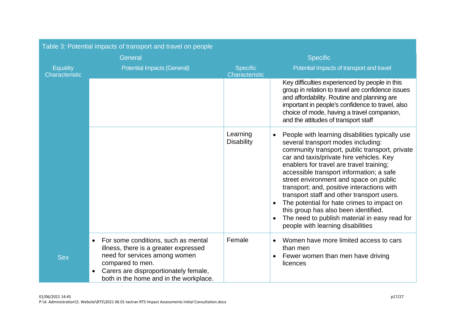| Table 3: Potential impacts of transport and travel on people |                                                                                                                                                                                                                                   |                                   |                                                                                                                                                                                                                                                                                                                                                                                                                                                                                                                                                                                                            |  |
|--------------------------------------------------------------|-----------------------------------------------------------------------------------------------------------------------------------------------------------------------------------------------------------------------------------|-----------------------------------|------------------------------------------------------------------------------------------------------------------------------------------------------------------------------------------------------------------------------------------------------------------------------------------------------------------------------------------------------------------------------------------------------------------------------------------------------------------------------------------------------------------------------------------------------------------------------------------------------------|--|
| General                                                      |                                                                                                                                                                                                                                   |                                   | <b>Specific</b>                                                                                                                                                                                                                                                                                                                                                                                                                                                                                                                                                                                            |  |
| <b>Equality</b><br>Characteristic                            | <b>Potential Impacts (General)</b>                                                                                                                                                                                                | <b>Specific</b><br>Characteristic | Potential Impacts of transport and travel                                                                                                                                                                                                                                                                                                                                                                                                                                                                                                                                                                  |  |
|                                                              |                                                                                                                                                                                                                                   |                                   | Key difficulties experienced by people in this<br>group in relation to travel are confidence issues<br>and affordability. Routine and planning are<br>important in people's confidence to travel, also<br>choice of mode, having a travel companion,<br>and the attitudes of transport staff                                                                                                                                                                                                                                                                                                               |  |
|                                                              |                                                                                                                                                                                                                                   | Learning<br><b>Disability</b>     | People with learning disabilities typically use<br>$\bullet$<br>several transport modes including:<br>community transport, public transport, private<br>car and taxis/private hire vehicles. Key<br>enablers for travel are travel training;<br>accessible transport information; a safe<br>street environment and space on public<br>transport; and, positive interactions with<br>transport staff and other transport users.<br>The potential for hate crimes to impact on<br>this group has also been identified.<br>The need to publish material in easy read for<br>people with learning disabilities |  |
| <b>Sex</b>                                                   | For some conditions, such as mental<br>$\bullet$<br>illness, there is a greater expressed<br>need for services among women<br>compared to men.<br>Carers are disproportionately female,<br>both in the home and in the workplace. | Female                            | Women have more limited access to cars<br>$\bullet$<br>than men<br>Fewer women than men have driving<br>$\bullet$<br>licences                                                                                                                                                                                                                                                                                                                                                                                                                                                                              |  |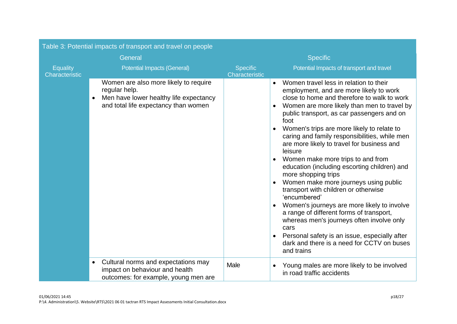| Table 3: Potential impacts of transport and travel on people |                                                                                                                                                       |                                                                                |                                                                                                                                                                                                                                                                                                                                                                                                                                                                                                                                                                                                                                                                                                                                                                                                                                                                                                                |  |
|--------------------------------------------------------------|-------------------------------------------------------------------------------------------------------------------------------------------------------|--------------------------------------------------------------------------------|----------------------------------------------------------------------------------------------------------------------------------------------------------------------------------------------------------------------------------------------------------------------------------------------------------------------------------------------------------------------------------------------------------------------------------------------------------------------------------------------------------------------------------------------------------------------------------------------------------------------------------------------------------------------------------------------------------------------------------------------------------------------------------------------------------------------------------------------------------------------------------------------------------------|--|
|                                                              | General                                                                                                                                               | <b>Specific</b>                                                                |                                                                                                                                                                                                                                                                                                                                                                                                                                                                                                                                                                                                                                                                                                                                                                                                                                                                                                                |  |
| <b>Equality</b><br>Characteristic                            | <b>Potential Impacts (General)</b>                                                                                                                    | Potential Impacts of transport and travel<br><b>Specific</b><br>Characteristic |                                                                                                                                                                                                                                                                                                                                                                                                                                                                                                                                                                                                                                                                                                                                                                                                                                                                                                                |  |
|                                                              | Women are also more likely to require<br>regular help.<br>Men have lower healthy life expectancy<br>$\bullet$<br>and total life expectancy than women |                                                                                | Women travel less in relation to their<br>$\bullet$<br>employment, and are more likely to work<br>close to home and therefore to walk to work<br>Women are more likely than men to travel by<br>$\bullet$<br>public transport, as car passengers and on<br>foot<br>Women's trips are more likely to relate to<br>caring and family responsibilities, while men<br>are more likely to travel for business and<br>leisure<br>Women make more trips to and from<br>education (including escorting children) and<br>more shopping trips<br>Women make more journeys using public<br>$\bullet$<br>transport with children or otherwise<br>'encumbered'<br>Women's journeys are more likely to involve<br>a range of different forms of transport,<br>whereas men's journeys often involve only<br>cars<br>Personal safety is an issue, especially after<br>dark and there is a need for CCTV on buses<br>and trains |  |
|                                                              | Cultural norms and expectations may<br>$\bullet$<br>impact on behaviour and health<br>outcomes: for example, young men are                            | Male                                                                           | Young males are more likely to be involved<br>$\bullet$<br>in road traffic accidents                                                                                                                                                                                                                                                                                                                                                                                                                                                                                                                                                                                                                                                                                                                                                                                                                           |  |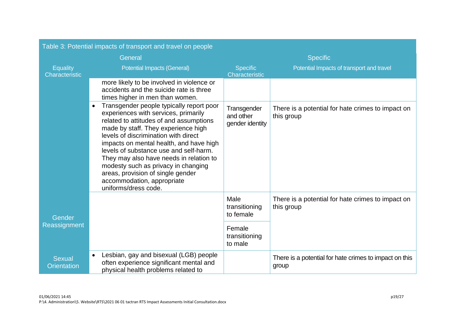|                                     | Table 3: Potential impacts of transport and travel on people                                                                                                                                                                                                                                                                                                                                                                                                                              |                                             |                                                                 |  |
|-------------------------------------|-------------------------------------------------------------------------------------------------------------------------------------------------------------------------------------------------------------------------------------------------------------------------------------------------------------------------------------------------------------------------------------------------------------------------------------------------------------------------------------------|---------------------------------------------|-----------------------------------------------------------------|--|
|                                     | General                                                                                                                                                                                                                                                                                                                                                                                                                                                                                   | <b>Specific</b>                             |                                                                 |  |
| <b>Equality</b><br>Characteristic   | <b>Potential Impacts (General)</b>                                                                                                                                                                                                                                                                                                                                                                                                                                                        | <b>Specific</b><br>Characteristic           | Potential Impacts of transport and travel                       |  |
|                                     | more likely to be involved in violence or<br>accidents and the suicide rate is three<br>times higher in men than women.                                                                                                                                                                                                                                                                                                                                                                   |                                             |                                                                 |  |
|                                     | Transgender people typically report poor<br>$\bullet$<br>experiences with services, primarily<br>related to attitudes of and assumptions<br>made by staff. They experience high<br>levels of discrimination with direct<br>impacts on mental health, and have high<br>levels of substance use and self-harm.<br>They may also have needs in relation to<br>modesty such as privacy in changing<br>areas, provision of single gender<br>accommodation, appropriate<br>uniforms/dress code. | Transgender<br>and other<br>gender identity | There is a potential for hate crimes to impact on<br>this group |  |
| Gender                              |                                                                                                                                                                                                                                                                                                                                                                                                                                                                                           | Male<br>transitioning<br>to female          | There is a potential for hate crimes to impact on<br>this group |  |
| Reassignment                        |                                                                                                                                                                                                                                                                                                                                                                                                                                                                                           | Female<br>transitioning<br>to male          |                                                                 |  |
| <b>Sexual</b><br><b>Orientation</b> | Lesbian, gay and bisexual (LGB) people<br>$\bullet$<br>often experience significant mental and<br>physical health problems related to                                                                                                                                                                                                                                                                                                                                                     |                                             | There is a potential for hate crimes to impact on this<br>group |  |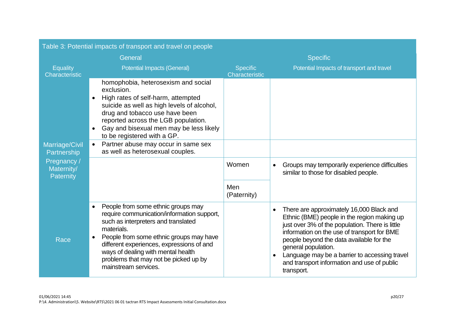|                                        | Table 3: Potential impacts of transport and travel on people                                                                                                                                                                                                                                                                                                   |                                   |                                                                                                                                                                                                                                                                                                                                                                                                      |  |
|----------------------------------------|----------------------------------------------------------------------------------------------------------------------------------------------------------------------------------------------------------------------------------------------------------------------------------------------------------------------------------------------------------------|-----------------------------------|------------------------------------------------------------------------------------------------------------------------------------------------------------------------------------------------------------------------------------------------------------------------------------------------------------------------------------------------------------------------------------------------------|--|
|                                        | General                                                                                                                                                                                                                                                                                                                                                        | <b>Specific</b>                   |                                                                                                                                                                                                                                                                                                                                                                                                      |  |
| Equality<br>Characteristic             | <b>Potential Impacts (General)</b>                                                                                                                                                                                                                                                                                                                             | <b>Specific</b><br>Characteristic | Potential Impacts of transport and travel                                                                                                                                                                                                                                                                                                                                                            |  |
|                                        | homophobia, heterosexism and social<br>exclusion.<br>High rates of self-harm, attempted<br>$\bullet$<br>suicide as well as high levels of alcohol,<br>drug and tobacco use have been<br>reported across the LGB population.<br>Gay and bisexual men may be less likely<br>$\bullet$<br>to be registered with a GP.                                             |                                   |                                                                                                                                                                                                                                                                                                                                                                                                      |  |
| Marriage/Civil<br>Partnership          | Partner abuse may occur in same sex<br>$\bullet$<br>as well as heterosexual couples.                                                                                                                                                                                                                                                                           |                                   |                                                                                                                                                                                                                                                                                                                                                                                                      |  |
| Pregnancy /<br>Maternity/<br>Paternity |                                                                                                                                                                                                                                                                                                                                                                | Women                             | Groups may temporarily experience difficulties<br>$\bullet$<br>similar to those for disabled people.                                                                                                                                                                                                                                                                                                 |  |
|                                        |                                                                                                                                                                                                                                                                                                                                                                | Men<br>(Paternity)                |                                                                                                                                                                                                                                                                                                                                                                                                      |  |
| <b>Race</b>                            | People from some ethnic groups may<br>$\bullet$<br>require communication/information support,<br>such as interpreters and translated<br>materials.<br>People from some ethnic groups may have<br>$\bullet$<br>different experiences, expressions of and<br>ways of dealing with mental health<br>problems that may not be picked up by<br>mainstream services. |                                   | There are approximately 16,000 Black and<br>$\bullet$<br>Ethnic (BME) people in the region making up<br>just over 3% of the population. There is little<br>information on the use of transport for BME<br>people beyond the data available for the<br>general population.<br>Language may be a barrier to accessing travel<br>$\bullet$<br>and transport information and use of public<br>transport. |  |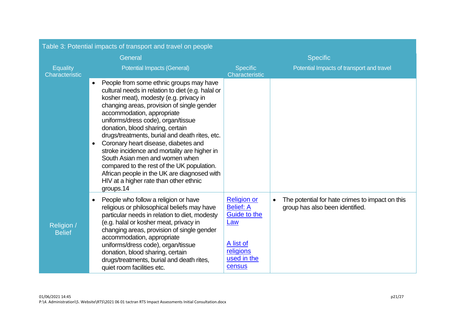|                                   | Table 3: Potential impacts of transport and travel on people                                                                                                                                                                                                                                                                                                                                                                                                                                                                                                                                                                                           |                                                                                                                                       |                                                                                                 |  |
|-----------------------------------|--------------------------------------------------------------------------------------------------------------------------------------------------------------------------------------------------------------------------------------------------------------------------------------------------------------------------------------------------------------------------------------------------------------------------------------------------------------------------------------------------------------------------------------------------------------------------------------------------------------------------------------------------------|---------------------------------------------------------------------------------------------------------------------------------------|-------------------------------------------------------------------------------------------------|--|
|                                   | General                                                                                                                                                                                                                                                                                                                                                                                                                                                                                                                                                                                                                                                | <b>Specific</b>                                                                                                                       |                                                                                                 |  |
| <b>Equality</b><br>Characteristic | <b>Potential Impacts (General)</b>                                                                                                                                                                                                                                                                                                                                                                                                                                                                                                                                                                                                                     | <b>Specific</b><br>Characteristic                                                                                                     | Potential Impacts of transport and travel                                                       |  |
|                                   | People from some ethnic groups may have<br>$\bullet$<br>cultural needs in relation to diet (e.g. halal or<br>kosher meat), modesty (e.g. privacy in<br>changing areas, provision of single gender<br>accommodation, appropriate<br>uniforms/dress code), organ/tissue<br>donation, blood sharing, certain<br>drugs/treatments, burial and death rites, etc.<br>Coronary heart disease, diabetes and<br>$\bullet$<br>stroke incidence and mortality are higher in<br>South Asian men and women when<br>compared to the rest of the UK population.<br>African people in the UK are diagnosed with<br>HIV at a higher rate than other ethnic<br>groups.14 |                                                                                                                                       |                                                                                                 |  |
| Religion /<br><b>Belief</b>       | People who follow a religion or have<br>$\bullet$<br>religious or philosophical beliefs may have<br>particular needs in relation to diet, modesty<br>(e.g. halal or kosher meat, privacy in<br>changing areas, provision of single gender<br>accommodation, appropriate<br>uniforms/dress code), organ/tissue<br>donation, blood sharing, certain<br>drugs/treatments, burial and death rites,<br>quiet room facilities etc.                                                                                                                                                                                                                           | <b>Religion or</b><br><b>Belief: A</b><br><b>Guide to the</b><br><u>Law</u><br><u>A list of</u><br>religions<br>used in the<br>census | The potential for hate crimes to impact on this<br>$\bullet$<br>group has also been identified. |  |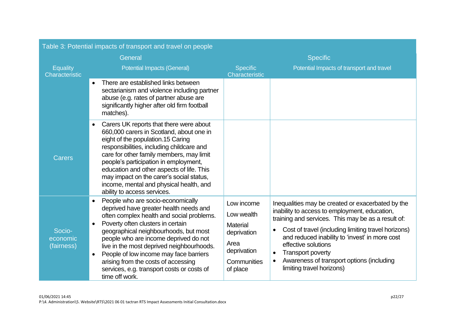|                                   | Table 3: Potential impacts of transport and travel on people                                                                                                                                                                                                                                                                                                                                                                                                                         |                                                                                                              |                                                                                                                                                                                                                                                                                                                                                                                                                                       |  |
|-----------------------------------|--------------------------------------------------------------------------------------------------------------------------------------------------------------------------------------------------------------------------------------------------------------------------------------------------------------------------------------------------------------------------------------------------------------------------------------------------------------------------------------|--------------------------------------------------------------------------------------------------------------|---------------------------------------------------------------------------------------------------------------------------------------------------------------------------------------------------------------------------------------------------------------------------------------------------------------------------------------------------------------------------------------------------------------------------------------|--|
|                                   | General                                                                                                                                                                                                                                                                                                                                                                                                                                                                              | <b>Specific</b>                                                                                              |                                                                                                                                                                                                                                                                                                                                                                                                                                       |  |
| <b>Equality</b><br>Characteristic | <b>Potential Impacts (General)</b>                                                                                                                                                                                                                                                                                                                                                                                                                                                   | <b>Specific</b><br>Characteristic                                                                            | Potential Impacts of transport and travel                                                                                                                                                                                                                                                                                                                                                                                             |  |
|                                   | There are established links between<br>$\bullet$<br>sectarianism and violence including partner<br>abuse (e.g. rates of partner abuse are<br>significantly higher after old firm football<br>matches).                                                                                                                                                                                                                                                                               |                                                                                                              |                                                                                                                                                                                                                                                                                                                                                                                                                                       |  |
| <b>Carers</b>                     | Carers UK reports that there were about<br>$\bullet$<br>660,000 carers in Scotland, about one in<br>eight of the population.15 Caring<br>responsibilities, including childcare and<br>care for other family members, may limit<br>people's participation in employment,<br>education and other aspects of life. This<br>may impact on the carer's social status,<br>income, mental and physical health, and<br>ability to access services.                                           |                                                                                                              |                                                                                                                                                                                                                                                                                                                                                                                                                                       |  |
| Socio-<br>economic<br>(fairness)  | People who are socio-economically<br>$\bullet$<br>deprived have greater health needs and<br>often complex health and social problems.<br>Poverty often clusters in certain<br>$\bullet$<br>geographical neighbourhoods, but most<br>people who are income deprived do not<br>live in the most deprived neighbourhoods.<br>People of low income may face barriers<br>$\bullet$<br>arising from the costs of accessing<br>services, e.g. transport costs or costs of<br>time off work. | Low income<br>Low wealth<br><b>Material</b><br>deprivation<br>Area<br>deprivation<br>Communities<br>of place | Inequalities may be created or exacerbated by the<br>inability to access to employment, education,<br>training and services. This may be as a result of:<br>Cost of travel (including limiting travel horizons)<br>$\bullet$<br>and reduced inability to 'invest' in more cost<br>effective solutions<br><b>Transport poverty</b><br>$\bullet$<br>Awareness of transport options (including<br>$\bullet$<br>limiting travel horizons) |  |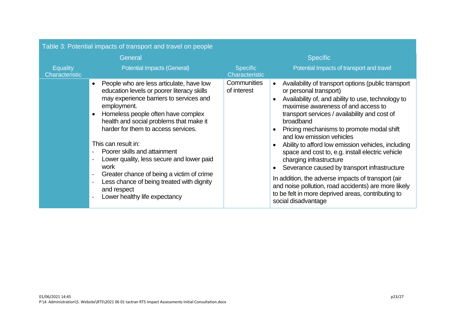<span id="page-22-0"></span>

|                            | Table 3: Potential impacts of transport and travel on people                                                                                                                                                                                                                                                                                                                                                                                                                                                                                                               |                                   |                                                                                                                                                                                                                                                                                                                                                                                                                                                                                                                                                                                                                                                                                                                                                                     |
|----------------------------|----------------------------------------------------------------------------------------------------------------------------------------------------------------------------------------------------------------------------------------------------------------------------------------------------------------------------------------------------------------------------------------------------------------------------------------------------------------------------------------------------------------------------------------------------------------------------|-----------------------------------|---------------------------------------------------------------------------------------------------------------------------------------------------------------------------------------------------------------------------------------------------------------------------------------------------------------------------------------------------------------------------------------------------------------------------------------------------------------------------------------------------------------------------------------------------------------------------------------------------------------------------------------------------------------------------------------------------------------------------------------------------------------------|
| General                    |                                                                                                                                                                                                                                                                                                                                                                                                                                                                                                                                                                            | <b>Specific</b>                   |                                                                                                                                                                                                                                                                                                                                                                                                                                                                                                                                                                                                                                                                                                                                                                     |
| Equality<br>Characteristic | <b>Potential Impacts (General)</b>                                                                                                                                                                                                                                                                                                                                                                                                                                                                                                                                         | <b>Specific</b><br>Characteristic | Potential Impacts of transport and travel                                                                                                                                                                                                                                                                                                                                                                                                                                                                                                                                                                                                                                                                                                                           |
|                            | People who are less articulate, have low<br>$\bullet$<br>education levels or poorer literacy skills<br>may experience barriers to services and<br>employment.<br>Homeless people often have complex<br>$\bullet$<br>health and social problems that make it<br>harder for them to access services.<br>This can result in:<br>Poorer skills and attainment<br>Lower quality, less secure and lower paid<br>work<br>Greater chance of being a victim of crime<br>$\blacksquare$<br>Less chance of being treated with dignity<br>and respect<br>Lower healthy life expectancy | Communities<br>of interest        | Availability of transport options (public transport<br>$\bullet$<br>or personal transport)<br>Availability of, and ability to use, technology to<br>$\bullet$<br>maximise awareness of and access to<br>transport services / availability and cost of<br>broadband<br>Pricing mechanisms to promote modal shift<br>$\bullet$<br>and low emission vehicles<br>Ability to afford low emission vehicles, including<br>$\bullet$<br>space and cost to, e.g. install electric vehicle<br>charging infrastructure<br>Severance caused by transport infrastructure<br>$\bullet$<br>In addition, the adverse impacts of transport (air<br>and noise pollution, road accidents) are more likely<br>to be felt in more deprived areas, contributing to<br>social disadvantage |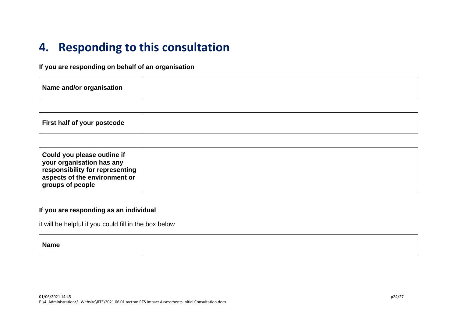## **4. Responding to this consultation**

#### **If you are responding on behalf of an organisation**

| Name and/or organisation |  |
|--------------------------|--|
|--------------------------|--|

| First half of your postcode |  |
|-----------------------------|--|
|-----------------------------|--|

| Could you please outline if<br>your organisation has any<br>responsibility for representing<br>aspects of the environment or<br>groups of people |
|--------------------------------------------------------------------------------------------------------------------------------------------------|
|--------------------------------------------------------------------------------------------------------------------------------------------------|

#### **If you are responding as an individual**

it will be helpful if you could fill in the box below

| <b>Name</b> |  |
|-------------|--|
|             |  |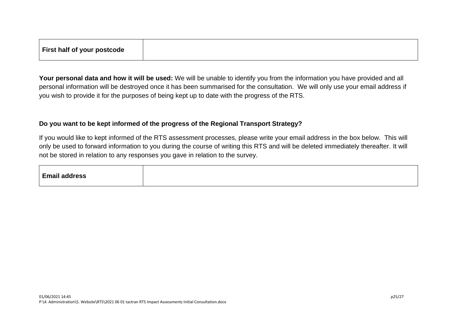| First half of your postcode |  |  |
|-----------------------------|--|--|
|                             |  |  |

**Your personal data and how it will be used:** We will be unable to identify you from the information you have provided and all personal information will be destroyed once it has been summarised for the consultation. We will only use your email address if you wish to provide it for the purposes of being kept up to date with the progress of the RTS.

#### **Do you want to be kept informed of the progress of the Regional Transport Strategy?**

If you would like to kept informed of the RTS assessment processes, please write your email address in the box below. This will only be used to forward information to you during the course of writing this RTS and will be deleted immediately thereafter. It will not be stored in relation to any responses you gave in relation to the survey.

| <b>Email address</b> |  |  |  |  |
|----------------------|--|--|--|--|
|----------------------|--|--|--|--|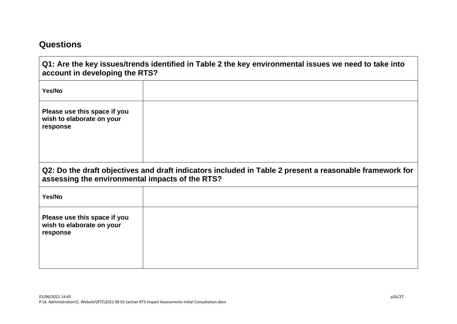### **Questions**

- 11

| account in developing the RTS?                                        | Q1: Are the key issues/trends identified in Table 2 the key environmental issues we need to take into   |
|-----------------------------------------------------------------------|---------------------------------------------------------------------------------------------------------|
| Yes/No                                                                |                                                                                                         |
| Please use this space if you<br>wish to elaborate on your<br>response |                                                                                                         |
| assessing the environmental impacts of the RTS?                       | Q2: Do the draft objectives and draft indicators included in Table 2 present a reasonable framework for |
| Yes/No                                                                |                                                                                                         |
| Please use this space if you<br>wish to elaborate on your<br>response |                                                                                                         |